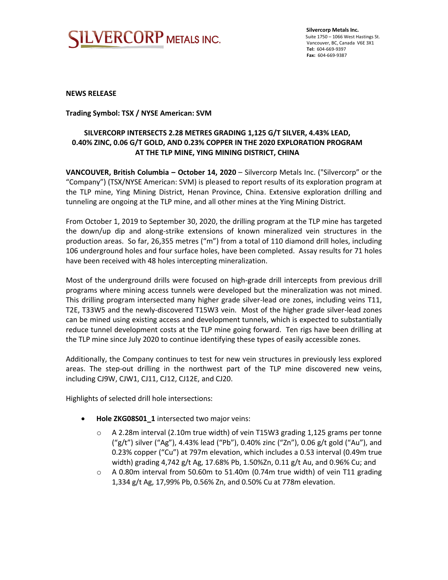# **SILVERCORP METALS INC.**

 **Silvercorp Metals Inc.** Suite 1750 – 1066 West Hastings St. Vancouver, BC, Canada V6E 3X1 **Tel:** 604-669-9397  **Fax:** 604-669-9387

**NEWS RELEASE**

**Trading Symbol: TSX / NYSE American: SVM**

## **SILVERCORP INTERSECTS 2.28 METRES GRADING 1,125 G/T SILVER, 4.43% LEAD, 0.40% ZINC, 0.06 G/T GOLD, AND 0.23% COPPER IN THE 2020 EXPLORATION PROGRAM AT THE TLP MINE, YING MINING DISTRICT, CHINA**

**VANCOUVER, British Columbia – October 14, 2020** – Silvercorp Metals Inc. ("Silvercorp" or the "Company") (TSX/NYSE American: SVM) is pleased to report results of its exploration program at the TLP mine, Ying Mining District, Henan Province, China. Extensive exploration drilling and tunneling are ongoing at the TLP mine, and all other mines at the Ying Mining District.

From October 1, 2019 to September 30, 2020, the drilling program at the TLP mine has targeted the down/up dip and along-strike extensions of known mineralized vein structures in the production areas. So far, 26,355 metres ("m") from a total of 110 diamond drill holes, including 106 underground holes and four surface holes, have been completed. Assay results for 71 holes have been received with 48 holes intercepting mineralization.

Most of the underground drills were focused on high-grade drill intercepts from previous drill programs where mining access tunnels were developed but the mineralization was not mined. This drilling program intersected many higher grade silver-lead ore zones, including veins T11, T2E, T33W5 and the newly-discovered T15W3 vein. Most of the higher grade silver-lead zones can be mined using existing access and development tunnels, which is expected to substantially reduce tunnel development costs at the TLP mine going forward. Ten rigs have been drilling at the TLP mine since July 2020 to continue identifying these types of easily accessible zones.

Additionally, the Company continues to test for new vein structures in previously less explored areas. The step-out drilling in the northwest part of the TLP mine discovered new veins, including CJ9W, CJW1, CJ11, CJ12, CJ12E, and CJ20.

Highlights of selected drill hole intersections:

- **Hole ZKG08S01\_1** intersected two major veins:
	- o A 2.28m interval (2.10m true width) of vein T15W3 grading 1,125 grams per tonne ("g/t") silver ("Ag"), 4.43% lead ("Pb"), 0.40% zinc ("Zn"), 0.06 g/t gold ("Au"), and 0.23% copper ("Cu") at 797m elevation, which includes a 0.53 interval (0.49m true width) grading 4,742 g/t Ag, 17.68% Pb, 1.50%Zn, 0.11 g/t Au, and 0.96% Cu; and
	- $\circ$  A 0.80m interval from 50.60m to 51.40m (0.74m true width) of vein T11 grading 1,334 g/t Ag, 17,99% Pb, 0.56% Zn, and 0.50% Cu at 778m elevation.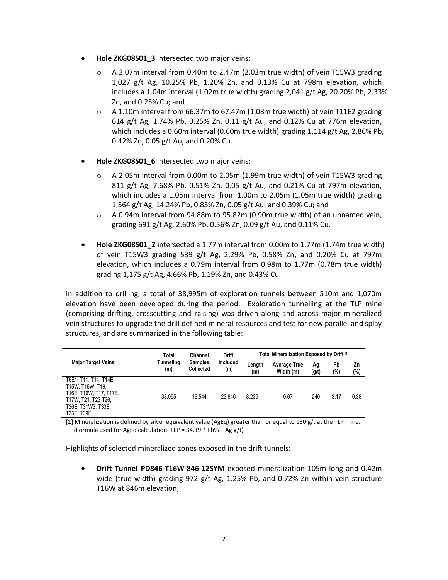- **Hole ZKG08S01\_3** intersected two major veins:
	- o A 2.07m interval from 0.40m to 2.47m (2.02m true width) of vein T15W3 grading 1,027 g/t Ag, 10.25% Pb, 1.20% Zn, and 0.13% Cu at 798m elevation, which includes a 1.04m interval (1.02m true width) grading 2,041 g/t Ag, 20.20% Pb, 2.33% Zn, and 0.25% Cu; and
	- $\circ$  A 1.10m interval from 66.37m to 67.47m (1.08m true width) of vein T11E2 grading 614 g/t Ag, 1.74% Pb, 0.25% Zn, 0.11 g/t Au, and 0.12% Cu at 776m elevation, which includes a 0.60m interval (0.60m true width) grading 1,114 g/t Ag, 2.86% Pb, 0.42% Zn, 0.05 g/t Au, and 0.20% Cu.
- **Hole ZKG08S01\_6** intersected two major veins:
	- $\circ$  A 2.05m interval from 0.00m to 2.05m (1.99m true width) of vein T15W3 grading 811 g/t Ag, 7.68% Pb, 0.51% Zn, 0.05 g/t Au, and 0.21% Cu at 797m elevation, which includes a 1.05m interval from 1.00m to 2.05m (1.05m true width) grading 1,564 g/t Ag, 14.24% Pb, 0.85% Zn, 0.05 g/t Au, and 0.39% Cu; and
	- o A 0.94m interval from 94.88m to 95.82m (0.90m true width) of an unnamed vein, grading 691 g/t Ag, 2.60% Pb, 0.56% Zn, 0.09 g/t Au, and 0.11% Cu.
- **Hole ZKG08S01\_2** intersected a 1.77m interval from 0.00m to 1.77m (1.74m true width) of vein T15W3 grading 539 g/t Ag, 2.29% Pb, 0.58% Zn, and 0.20% Cu at 797m elevation, which includes a 0.79m interval from 0.98m to 1.77m (0.78m true width) grading 1,175 g/t Ag, 4.66% Pb, 1.19% Zn, and 0.43% Cu.

In addition to drilling, a total of 38,995m of exploration tunnels between 510m and 1,070m elevation have been developed during the period. Exploration tunnelling at the TLP mine (comprising drifting, crosscutting and raising) was driven along and across major mineralized vein structures to upgrade the drill defined mineral resources and test for new parallel and splay structures, and are summarized in the following table:

|                                                                                                                                | Total<br>Tunneling<br>(m) | <b>Drift</b><br>Channel     |                 | Total Mineralization Exposed by Drift [1] |                                  |             |           |           |  |
|--------------------------------------------------------------------------------------------------------------------------------|---------------------------|-----------------------------|-----------------|-------------------------------------------|----------------------------------|-------------|-----------|-----------|--|
| <b>Major Target Veins</b>                                                                                                      |                           | <b>Samples</b><br>Collected | Included<br>(m) | Length<br>(m)                             | <b>Average True</b><br>Width (m) | Ag<br>(g/t) | Pb<br>(%) | Zn<br>(%) |  |
| T5E1, T11, T14, T14E,<br>T15W, T15W, T16,<br>T16E, T16W, T17, T17E,<br>T17W, T21, T23 T26,<br>T26E, T31W3, T33E,<br>T35E, T39E | 38.995                    | 16.544                      | 23.846          | 8.239                                     | 0.67                             | 240         | 3.17      | 0.38      |  |

[1] Mineralization is defined by silver equivalent value (AgEq) greater than or equal to 130 g/t at the TLP mine. (Formula used for AgEq calculation: TLP =  $34.19 * Pb\% + Agg/t$ )

Highlights of selected mineralized zones exposed in the drift tunnels:

 **Drift Tunnel PD846-T16W-846-12SYM** exposed mineralization 105m long and 0.42m wide (true width) grading 972 g/t Ag, 1.25% Pb, and 0.72% Zn within vein structure T16W at 846m elevation;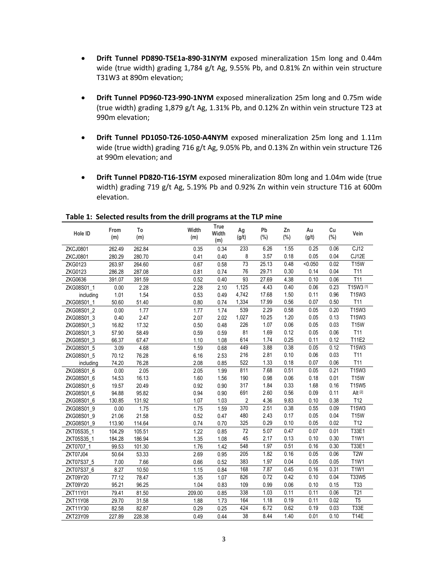- **Drift Tunnel PD890-T5E1a-890-31NYM** exposed mineralization 15m long and 0.44m wide (true width) grading 1,784 g/t Ag, 9.55% Pb, and 0.81% Zn within vein structure T31W3 at 890m elevation;
- **Drift Tunnel PD960-T23-990-1NYM** exposed mineralization 25m long and 0.75m wide (true width) grading 1,879 g/t Ag, 1.31% Pb, and 0.12% Zn within vein structure T23 at 990m elevation;
- **Drift Tunnel PD1050-T26-1050-A4NYM** exposed mineralization 25m long and 1.11m wide (true width) grading 716 g/t Ag, 9.05% Pb, and 0.13% Zn within vein structure T26 at 990m elevation; and
- **Drift Tunnel PD820-T16-1SYM** exposed mineralization 80m long and 1.04m wide (true width) grading 719 g/t Ag, 5.19% Pb and 0.92% Zn within vein structure T16 at 600m elevation.

| Hole ID         | From   | To     | Width  | True<br>Width | Ag             | Pb      | Zn   | Au      | Cu      | Vein               |
|-----------------|--------|--------|--------|---------------|----------------|---------|------|---------|---------|--------------------|
|                 | (m)    | (m)    | (m)    | (m)           | (g/t)          | $(\% )$ | (%)  | (g/t)   | $(\% )$ |                    |
| <b>ZKCJ0801</b> | 262.49 | 262.84 | 0.35   | 0.34          | 233            | 6.26    | 1.55 | 0.25    | 0.06    | CJ12               |
| <b>ZKCJ0801</b> | 280.29 | 280.70 | 0.41   | 0.40          | 8              | 3.57    | 0.18 | 0.05    | 0.04    | CJ12E              |
| ZKG0123         | 263.97 | 264.60 | 0.67   | 0.58          | 73             | 25.13   | 0.48 | < 0.050 | 0.02    | <b>T15W</b>        |
| <b>ZKG0123</b>  | 286.28 | 287.08 | 0.81   | 0.74          | 76             | 29.71   | 0.30 | 0.14    | 0.04    | T11                |
| ZKG0636         | 391.07 | 391.59 | 0.52   | 0.40          | 93             | 27.69   | 4.38 | 0.10    | 0.06    | T11                |
| ZKG08S01 1      | 0.00   | 2.28   | 2.28   | 2.10          | 1,125          | 4.43    | 0.40 | 0.06    | 0.23    | T15W3 [1]          |
| including       | 1.01   | 1.54   | 0.53   | 0.49          | 4,742          | 17.68   | 1.50 | 0.11    | 0.96    | T15W3              |
| ZKG08S01 1      | 50.60  | 51.40  | 0.80   | 0.74          | 1,334          | 17.99   | 0.56 | 0.07    | 0.50    | T <sub>11</sub>    |
| ZKG08S01 2      | 0.00   | 1.77   | 1.77   | 1.74          | 539            | 2.29    | 0.58 | 0.05    | 0.20    | T15W3              |
| ZKG08S01 3      | 0.40   | 2.47   | 2.07   | 2.02          | 1,027          | 10.25   | 1.20 | 0.05    | 0.13    | T15W3              |
| ZKG08S01 3      | 16.82  | 17.32  | 0.50   | 0.48          | 226            | 1.07    | 0.06 | 0.05    | 0.03    | <b>T15W</b>        |
| ZKG08S01_3      | 57.90  | 58.49  | 0.59   | 0.59          | 81             | 1.69    | 0.12 | 0.05    | 0.06    | T11                |
| ZKG08S01_3      | 66.37  | 67.47  | 1.10   | 1.08          | 614            | 1.74    | 0.25 | 0.11    | 0.12    | T11E2              |
| ZKG08S01 5      | 3.09   | 4.68   | 1.59   | 0.68          | 449            | 3.88    | 0.38 | 0.05    | 0.12    | T15W3              |
| ZKG08S01 5      | 70.12  | 76.28  | 6.16   | 2.53          | 216            | 2.81    | 0.10 | 0.06    | 0.03    | T11                |
| including       | 74.20  | 76.28  | 2.08   | 0.85          | 522            | 1.33    | 0.18 | 0.07    | 0.06    | T <sub>11</sub>    |
| ZKG08S01_6      | 0.00   | 2.05   | 2.05   | 1.99          | 811            | 7.68    | 0.51 | 0.05    | 0.21    | T15W3              |
| ZKG08S01 6      | 14.53  | 16.13  | 1.60   | 1.56          | 190            | 0.98    | 0.06 | 0.18    | 0.01    | <b>T15W</b>        |
| ZKG08S01 6      | 19.57  | 20.49  | 0.92   | 0.90          | 317            | 1.84    | 0.33 | 1.68    | 0.16    | T15W5              |
| ZKG08S01 6      | 94.88  | 95.82  | 0.94   | 0.90          | 691            | 2.60    | 0.56 | 0.09    | 0.11    | Alt <sup>[2]</sup> |
| ZKG08S01 6      | 130.85 | 131.92 | 1.07   | 1.03          | $\overline{2}$ | 4.36    | 9.83 | 0.10    | 0.38    | T12                |
| ZKG08S01 9      | 0.00   | 1.75   | 1.75   | 1.59          | 370            | 2.51    | 0.38 | 0.55    | 0.09    | T15W3              |
| ZKG08S01 9      | 21.06  | 21.58  | 0.52   | 0.47          | 480            | 2.43    | 0.17 | 0.05    | 0.04    | <b>T15W</b>        |
| ZKG08S01_9      | 113.90 | 114.64 | 0.74   | 0.70          | 325            | 0.29    | 0.10 | 0.05    | 0.02    | T12                |
| ZKT05S35_1      | 104.29 | 105.51 | 1.22   | 0.85          | 72             | 5.07    | 0.47 | 0.07    | 0.01    | T33E1              |
| ZKT05S35 1      | 184.28 | 186.94 | 1.35   | 1.08          | 45             | 2.17    | 0.13 | 0.10    | 0.30    | <b>T1W1</b>        |
| ZKT0707 1       | 99.53  | 101.30 | 1.76   | 1.42          | 548            | 1.97    | 0.51 | 0.16    | 0.30    | T33E1              |
| <b>ZKT07J04</b> | 50.64  | 53.33  | 2.69   | 0.95          | 205            | 1.82    | 0.16 | 0.05    | 0.06    | T <sub>2</sub> W   |
| ZKT07S37 5      | 7.00   | 7.66   | 0.66   | 0.52          | 383            | 1.97    | 0.04 | 0.05    | 0.05    | <b>T1W1</b>        |
| ZKT07S37_6      | 8.27   | 10.50  | 1.15   | 0.84          | 168            | 7.87    | 0.45 | 0.16    | 0.31    | T1W1               |
| ZKT09Y20        | 77.12  | 78.47  | 1.35   | 1.07          | 826            | 0.72    | 0.42 | 0.10    | 0.04    | T33W5              |
| ZKT09Y20        | 95.21  | 96.25  | 1.04   | 0.83          | 109            | 0.99    | 0.06 | 0.10    | 0.15    | T33                |
| ZKT11Y01        | 79.41  | 81.50  | 209.00 | 0.85          | 338            | 1.03    | 0.11 | 0.11    | 0.06    | T <sub>21</sub>    |
| ZKT11Y08        | 29.70  | 31.58  | 1.88   | 1.73          | 164            | 1.18    | 0.19 | 0.11    | 0.02    | $\overline{15}$    |
| ZKT11Y30        | 82.58  | 82.87  | 0.29   | 0.25          | 424            | 6.72    | 0.62 | 0.19    | 0.03    | T33E               |
| ZKT23Y09        | 227.89 | 228.38 | 0.49   | 0.44          | 38             | 8.44    | 1.40 | 0.01    | 0.10    | <b>T14E</b>        |

**Table 1: Selected results from the drill programs at the TLP mine**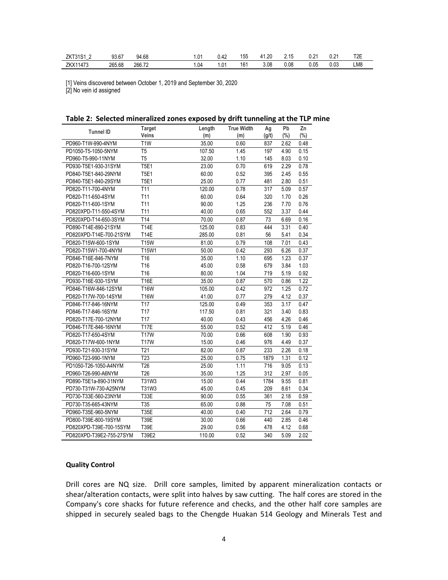| <b>7KT31C1</b><br><b>LINIJI</b> UI | 0002<br>93.b <i>i</i> | 94.68  | $\mathsf{D}$<br>I.U | 0.42 | 155<br>∪י | 41.20 | 4 E<br>2. I J | $\sim$<br>U.Z     | $\sim$<br>◡.∠  | T <sub>2</sub> E |
|------------------------------------|-----------------------|--------|---------------------|------|-----------|-------|---------------|-------------------|----------------|------------------|
| ZKX11473                           | 265.68                | 266.72 | 1.04                | . 01 | 16'       | 3.08  | 0.08          | $\bigcap$<br>u.uc | $\sim$<br>U.U3 | LM8              |

[1] Veins discovered between October 1, 2019 and September 30, 2020

[2] No vein id assigned

| <b>Tunnel ID</b>         | <b>Target</b>    | Length | <b>True Width</b> | Ag    | Pb   | Zn     |
|--------------------------|------------------|--------|-------------------|-------|------|--------|
|                          | Veins            | (m)    | (m)               | (g/t) | (%)  | $(\%)$ |
| PD960-T1W-990-4NYM       | T <sub>1</sub> W | 35.00  | 0.60              | 837   | 2.62 | 0.48   |
| PD1050-T5-1050-5NYM      | T <sub>5</sub>   | 107.50 | 1.45              | 197   | 4.90 | 0.15   |
| PD960-T5-990-11NYM       | T <sub>5</sub>   | 32.00  | 1.10              | 145   | 8.03 | 0.10   |
| PD930-T5E1-930-31SYM     | <b>T5E1</b>      | 23.00  | 0.70              | 619   | 2.29 | 0.78   |
| PD840-T5E1-840-29NYM     | <b>T5E1</b>      | 60.00  | 0.52              | 395   | 2.45 | 0.55   |
| PD840-T5E1-840-29SYM     | <b>T5E1</b>      | 25.00  | 0.77              | 481   | 2.80 | 0.51   |
| PD820-T11-700-4NYM       | T11              | 120.00 | 0.78              | 317   | 5.09 | 0.57   |
| PD820-T11-650-4SYM       | T11              | 60.00  | 0.64              | 320   | 1.70 | 0.26   |
| PD820-T11-600-1SYM       | T11              | 90.00  | 1.25              | 236   | 7.70 | 0.76   |
| PD820XPD-T11-550-4SYM    | T <sub>11</sub>  | 40.00  | 0.65              | 552   | 3.37 | 0.44   |
| PD820XPD-T14-650-3SYM    | T <sub>14</sub>  | 70.00  | 0.87              | 73    | 6.69 | 0.16   |
| PD890-T14E-890-21SYM     | <b>T14E</b>      | 125.00 | 0.83              | 444   | 3.31 | 0.40   |
| PD820XPD-T14E-700-21SYM  | <b>T14E</b>      | 285.00 | 0.81              | 56    | 5.41 | 0.34   |
| PD820-T15W-600-1SYM      | <b>T15W</b>      | 81.00  | 0.79              | 108   | 7.01 | 0.43   |
| PD820-T15W1-700-4NYM     | T15W1            | 50.00  | 0.42              | 293   | 6.26 | 0.37   |
| PD846-T16E-846-7NYM      | T <sub>16</sub>  | 35.00  | 1.10              | 695   | 1.23 | 0.37   |
| PD820-T16-700-12SYM      | T16              | 45.00  | 0.58              | 679   | 3.84 | 1.03   |
| PD820-T16-600-1SYM       | T <sub>16</sub>  | 80.00  | 1.04              | 719   | 5.19 | 0.92   |
| PD930-T16E-930-1SYM      | <b>T16E</b>      | 35.00  | 0.87              | 570   | 0.86 | 1.22   |
| PD846-T16W-846-12SYM     | <b>T16W</b>      | 105.00 | 0.42              | 972   | 1.25 | 0.72   |
| PD820-T17W-700-14SYM     | <b>T16W</b>      | 41.00  | 0.77              | 279   | 4.12 | 0.37   |
| PD846-T17-846-16NYM      | T <sub>17</sub>  | 125.00 | 0.49              | 353   | 3.17 | 0.47   |
| PD846-T17-846-16SYM      | T <sub>17</sub>  | 117.50 | 0.81              | 321   | 3.40 | 0.83   |
| PD820-T17E-700-12NYM     | <b>T17</b>       | 40.00  | 0.43              | 456   | 4.26 | 0.46   |
| PD846-T17E-846-16NYM     | <b>T17E</b>      | 55.00  | 0.52              | 412   | 5.19 | 0.46   |
| PD820-T17-650-4SYM       | <b>T17W</b>      | 70.00  | 0.66              | 608   | 1.90 | 0.93   |
| PD820-T17W-600-1NYM      | <b>T17W</b>      | 15.00  | 0.46              | 976   | 4.49 | 0.37   |
| PD930-T21-930-31SYM      | T <sub>21</sub>  | 82.00  | 0.87              | 233   | 2.26 | 0.18   |
| PD960-T23-990-1NYM       | T <sub>23</sub>  | 25.00  | 0.75              | 1879  | 1.31 | 0.12   |
| PD1050-T26-1050-A4NYM    | T <sub>26</sub>  | 25.00  | 1.11              | 716   | 9.05 | 0.13   |
| PD960-T26-990-A6NYM      | T <sub>26</sub>  | 35.00  | 1.25              | 312   | 2.97 | 0.05   |
| PD890-T5E1a-890-31NYM    | T31W3            | 15.00  | 0.44              | 1784  | 9.55 | 0.81   |
| PD730-T31W-730-A25NYM    | T31W3            | 45.00  | 0.45              | 209   | 8.61 | 0.34   |
| PD730-T33E-560-23NYM     | T33E             | 90.00  | 0.55              | 361   | 2.18 | 0.59   |
| PD730-T35-665-43NYM      | T35              | 65.00  | 0.88              | 75    | 7.08 | 0.51   |
| PD960-T35E-960-5NYM      | T <sub>35E</sub> | 40.00  | 0.40              | 712   | 2.64 | 0.79   |
| PD800-T39E-800-19SYM     | <b>T39E</b>      | 30.00  | 0.66              | 440   | 2.85 | 0.46   |
| PD820XPD-T39E-700-15SYM  | <b>T39E</b>      | 29.00  | 0.56              | 478   | 4.12 | 0.68   |
| PD820XPD-T39E2-755-27SYM | T39E2            | 110.00 | 0.52              | 340   | 5.09 | 2.02   |

### **Quality Control**

Drill cores are NQ size. Drill core samples, limited by apparent mineralization contacts or shear/alteration contacts, were split into halves by saw cutting. The half cores are stored in the Company's core shacks for future reference and checks, and the other half core samples are shipped in securely sealed bags to the Chengde Huakan 514 Geology and Minerals Test and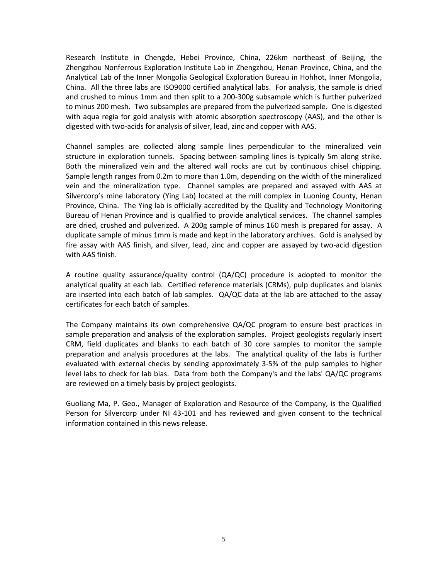Research Institute in Chengde, Hebei Province, China, 226km northeast of Beijing, the Zhengzhou Nonferrous Exploration Institute Lab in Zhengzhou, Henan Province, China, and the Analytical Lab of the Inner Mongolia Geological Exploration Bureau in Hohhot, Inner Mongolia, China. All the three labs are ISO9000 certified analytical labs. For analysis, the sample is dried and crushed to minus 1mm and then split to a 200-300g subsample which is further pulverized to minus 200 mesh. Two subsamples are prepared from the pulverized sample. One is digested with aqua regia for gold analysis with atomic absorption spectroscopy (AAS), and the other is digested with two-acids for analysis of silver, lead, zinc and copper with AAS.

Channel samples are collected along sample lines perpendicular to the mineralized vein structure in exploration tunnels. Spacing between sampling lines is typically 5m along strike. Both the mineralized vein and the altered wall rocks are cut by continuous chisel chipping. Sample length ranges from 0.2m to more than 1.0m, depending on the width of the mineralized vein and the mineralization type. Channel samples are prepared and assayed with AAS at Silvercorp's mine laboratory (Ying Lab) located at the mill complex in Luoning County, Henan Province, China. The Ying lab is officially accredited by the Quality and Technology Monitoring Bureau of Henan Province and is qualified to provide analytical services. The channel samples are dried, crushed and pulverized. A 200g sample of minus 160 mesh is prepared for assay. A duplicate sample of minus 1mm is made and kept in the laboratory archives. Gold is analysed by fire assay with AAS finish, and silver, lead, zinc and copper are assayed by two-acid digestion with AAS finish.

A routine quality assurance/quality control (QA/QC) procedure is adopted to monitor the analytical quality at each lab. Certified reference materials (CRMs), pulp duplicates and blanks are inserted into each batch of lab samples. QA/QC data at the lab are attached to the assay certificates for each batch of samples.

The Company maintains its own comprehensive QA/QC program to ensure best practices in sample preparation and analysis of the exploration samples. Project geologists regularly insert CRM, field duplicates and blanks to each batch of 30 core samples to monitor the sample preparation and analysis procedures at the labs. The analytical quality of the labs is further evaluated with external checks by sending approximately 3-5% of the pulp samples to higher level labs to check for lab bias. Data from both the Company's and the labs' QA/QC programs are reviewed on a timely basis by project geologists.

Guoliang Ma, P. Geo., Manager of Exploration and Resource of the Company, is the Qualified Person for Silvercorp under NI 43-101 and has reviewed and given consent to the technical information contained in this news release.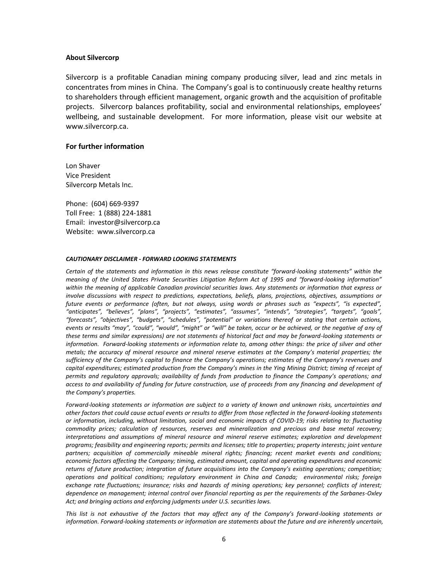#### **About Silvercorp**

Silvercorp is a profitable Canadian mining company producing silver, lead and zinc metals in concentrates from mines in China. The Company's goal is to continuously create healthy returns to shareholders through efficient management, organic growth and the acquisition of profitable projects. Silvercorp balances profitability, social and environmental relationships, employees' wellbeing, and sustainable development. For more information, please visit our website at www.silvercorp.ca.

#### **For further information**

Lon Shaver Vice President Silvercorp Metals Inc.

Phone: (604) 669-9397 Toll Free: 1 (888) 224-1881 Email: investor@silvercorp.ca Website: www.silvercorp.ca

#### *CAUTIONARY DISCLAIMER - FORWARD LOOKING STATEMENTS*

*Certain of the statements and information in this news release constitute "forward-looking statements" within the meaning of the United States Private Securities Litigation Reform Act of 1995 and "forward-looking information"*  within the meaning of applicable Canadian provincial securities laws. Any statements or information that express or *involve discussions with respect to predictions, expectations, beliefs, plans, projections, objectives, assumptions or future events or performance (often, but not always, using words or phrases such as "expects", "is expected", "anticipates", "believes", "plans", "projects", "estimates", "assumes", "intends", "strategies", "targets", "goals", "forecasts", "objectives", "budgets", "schedules", "potential" or variations thereof or stating that certain actions, events or results "may", "could", "would", "might" or "will" be taken, occur or be achieved, or the negative of any of these terms and similar expressions) are not statements of historical fact and may be forward-looking statements or information. Forward-looking statements or information relate to, among other things: the price of silver and other metals; the accuracy of mineral resource and mineral reserve estimates at the Company's material properties; the sufficiency of the Company's capital to finance the Company's operations; estimates of the Company's revenues and capital expenditures; estimated production from the Company's mines in the Ying Mining District; timing of receipt of permits and regulatory approvals; availability of funds from production to finance the Company's operations; and access to and availability of funding for future construction, use of proceeds from any financing and development of the Company's properties.*

*Forward-looking statements or information are subject to a variety of known and unknown risks, uncertainties and other factors that could cause actual events or results to differ from those reflected in the forward-looking statements or information, including, without limitation, social and economic impacts of COVID-19; risks relating to: fluctuating commodity prices; calculation of resources, reserves and mineralization and precious and base metal recovery; interpretations and assumptions of mineral resource and mineral reserve estimates; exploration and development programs; feasibility and engineering reports; permits and licenses; title to properties; property interests; joint venture*  partners; acquisition of commercially mineable mineral rights; financing; recent market events and conditions; *economic factors affecting the Company; timing, estimated amount, capital and operating expenditures and economic returns of future production; integration of future acquisitions into the Company's existing operations; competition; operations and political conditions; regulatory environment in China and Canada; environmental risks; foreign exchange rate fluctuations; insurance; risks and hazards of mining operations; key personnel; conflicts of interest; dependence on management; internal control over financial reporting as per the requirements of the Sarbanes-Oxley Act; and bringing actions and enforcing judgments under U.S. securities laws.*

*This list is not exhaustive of the factors that may affect any of the Company's forward-looking statements or information. Forward-looking statements or information are statements about the future and are inherently uncertain,*